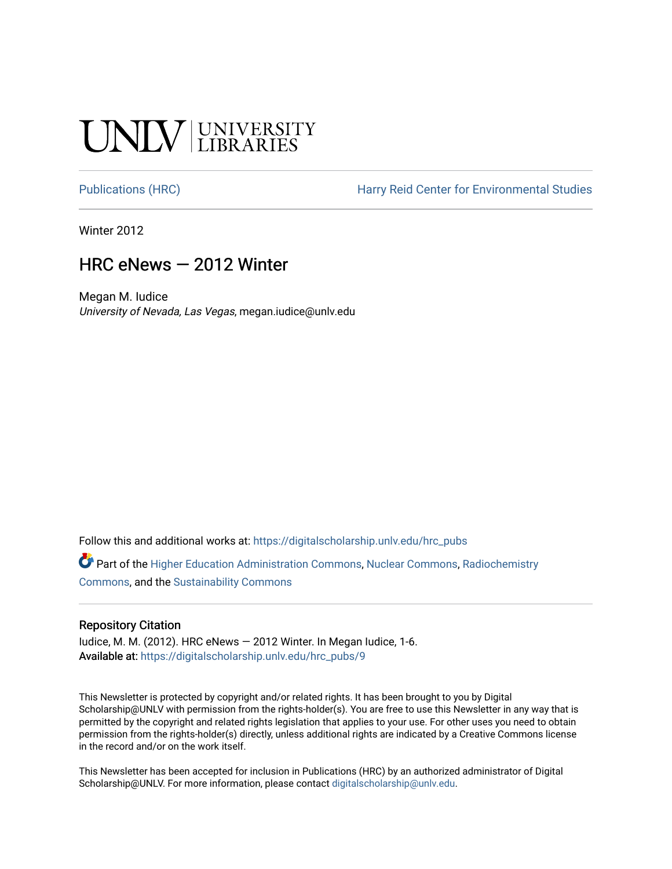# **SALV UNIVERSITY**

[Publications \(HRC\)](https://digitalscholarship.unlv.edu/hrc_pubs) The Harry Reid Center for Environmental Studies

Winter 2012

#### HRC eNews — 2012 Winter

Megan M. Iudice University of Nevada, Las Vegas, megan.iudice@unlv.edu

Follow this and additional works at: [https://digitalscholarship.unlv.edu/hrc\\_pubs](https://digitalscholarship.unlv.edu/hrc_pubs?utm_source=digitalscholarship.unlv.edu%2Fhrc_pubs%2F9&utm_medium=PDF&utm_campaign=PDFCoverPages)

Part of the [Higher Education Administration Commons,](http://network.bepress.com/hgg/discipline/791?utm_source=digitalscholarship.unlv.edu%2Fhrc_pubs%2F9&utm_medium=PDF&utm_campaign=PDFCoverPages) [Nuclear Commons](http://network.bepress.com/hgg/discipline/203?utm_source=digitalscholarship.unlv.edu%2Fhrc_pubs%2F9&utm_medium=PDF&utm_campaign=PDFCoverPages), [Radiochemistry](http://network.bepress.com/hgg/discipline/1196?utm_source=digitalscholarship.unlv.edu%2Fhrc_pubs%2F9&utm_medium=PDF&utm_campaign=PDFCoverPages)  [Commons](http://network.bepress.com/hgg/discipline/1196?utm_source=digitalscholarship.unlv.edu%2Fhrc_pubs%2F9&utm_medium=PDF&utm_campaign=PDFCoverPages), and the [Sustainability Commons](http://network.bepress.com/hgg/discipline/1031?utm_source=digitalscholarship.unlv.edu%2Fhrc_pubs%2F9&utm_medium=PDF&utm_campaign=PDFCoverPages)

#### Repository Citation

Iudice, M. M. (2012). HRC eNews  $-$  2012 Winter. In Megan Iudice, 1-6. Available at: [https://digitalscholarship.unlv.edu/hrc\\_pubs/9](https://digitalscholarship.unlv.edu/hrc_pubs/9)

This Newsletter is protected by copyright and/or related rights. It has been brought to you by Digital Scholarship@UNLV with permission from the rights-holder(s). You are free to use this Newsletter in any way that is permitted by the copyright and related rights legislation that applies to your use. For other uses you need to obtain permission from the rights-holder(s) directly, unless additional rights are indicated by a Creative Commons license in the record and/or on the work itself.

This Newsletter has been accepted for inclusion in Publications (HRC) by an authorized administrator of Digital Scholarship@UNLV. For more information, please contact [digitalscholarship@unlv.edu.](mailto:digitalscholarship@unlv.edu)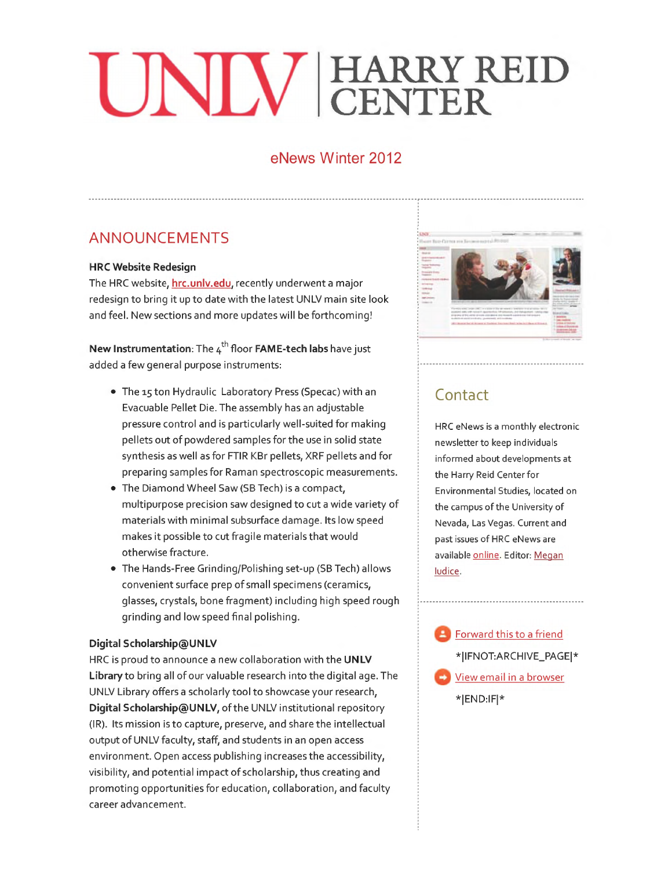# **HARRY CENTER D**

#### **eNews Winter 2012**

## **ANNOUNCEMENTS**

#### **HRC Website Redesign**

The HRC website, **hrc.unlv.edu,** recently underwent a major redesign to bring it up to date with the latest UNLV main site look and feel. New sections and more updates will be forthcoming!

**New Instrumentation:** The 4<sup>th</sup> floor **FAME-tech labs** have just added a few general purpose instruments:

- The 15 ton Hydraulic Laboratory Press (Specac) with an Evacuable Pellet Die. The assembly has an adjustable pressure control and is particularly well-suited for making pellets out of powdered samples for the use in solid state synthesis as well as for FTIR KBr pellets, XRF pellets and for preparing samples for Raman spectroscopic measurements.
- The Diamond Wheel Saw (SB Tech) is a compact, multipurpose precision saw designed to cut a wide variety of materials with minimal subsurface damage. Its low speed makes it possible to cut fragile materials that would otherwise fracture .
- The Hands-Free Grinding/Polishing set-up (SB Tech) allows convenient surface prep of small specimens (ceramics, glasses, crystals, bone fragment) including high speed rough grinding and low speed final polishing.

#### **Digital Scholarship@UNLV**

HRC is proud to announce a new collaboration with the **UNLV Library** to bring all of our valuable research into the digital age. The UNLV Library offers a scholarly tool to showcase your research, **Digital Scholarship@UNLV,** of the UNLV institutional repository (IR). Its mission is to capture, preserve, and share the intellectual output of UNLV faculty, staff, and students in an open access environment. Open access publishing increases the accessibility, visibility, and potential impact of scholarship, thus creating and promoting opportunities for education, collaboration, and faculty career advancement.



# **Contact**

HRC eNews is a monthly electronic newsletter to keep individuals informed about developments at the Harry Reid Center for Environmental Studies, located on the campus of the University of Nevada, Las Vegas. Current and past issues of HRC eNews are available online. Editor: Megan ludice.

Forward this to a friend \*IIFNOT:ARCHIVE\_PAGEI\* View email in a browser \*IEND:IFI\*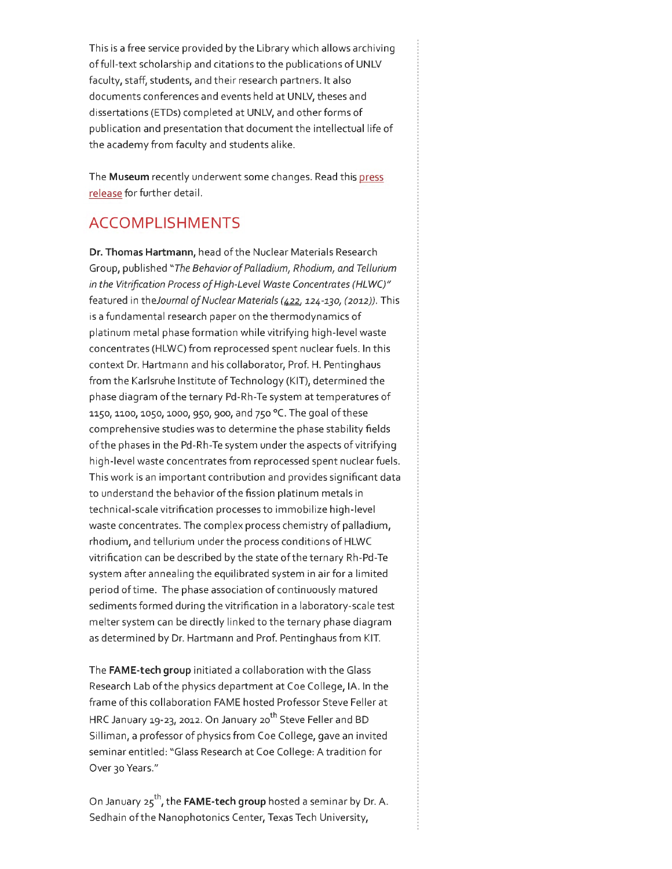This is a free service provided by the Library which allows archiving offull-text scholarship and citations to the publications of UNLV faculty, staff, students, and their research partners. It also documents conferences and events held at UNLV, theses and dissertations (ETDs) completed at UNLV, and other forms of publication and presentation that document the intellectual life of the academy from faculty and students alike.

The **Museum** recently underwent some changes. Read this press release for further detail.

### **ACCOMPLISHMENTS**

**Dr. Thomas Hartmann,** head of the Nuclear Materials Research Group, published *"The Behavior of Palladium, Rhodium, and Tellurium in the Vitrification Process of High-Level Waste Concentrates (HLWC)"*  featured in *theJournal of Nuclear Materials (422, 124-130, (2012)).* This is a fundamental research paper on the thermodynamics of platinum metal phase formation while vitrifying high-level waste concentrates (HLWC) from reprocessed spent nuclear fuels. In this context Dr. Hartmann and his collaborator, Prof. H. Pentinghaus from the Karlsruhe Institute of Technology (KIT), determined the phase diagram of the ternary Pd-Rh-Te system at temperatures of 1150, 1100, 1050, 1000, 950, 900, and 750 °C. The goal of these comprehensive studies was to determine the phase stability fields of the phases in the Pd-Rh-Te system under the aspects of vitrifying high-level waste concentrates from reprocessed spent nuclear fuels. This work is an important contribution and provides significant data to understand the behavior of the fission platinum metals in technical-scale vitrification processes to immobilize high-level waste concentrates. The complex process chemistry of palladium, rhodium, and tellurium under the process conditions of HLWC vitrification can be described by the state of the ternary Rh-Pd-Te system after annealing the equilibrated system in air for a limited period oftime. The phase association of continuously matured sediments formed during the vitrification in a laboratory-scale test melter system can be directly linked to the ternary phase diagram as determined by Dr. Hartmann and Prof. Pentinghaus from KIT.

The **FAME-tech group** initiated a collaboration with the Glass Research Lab of the physics department at Coe College, lA. In the frame of this collaboration FAME hosted Professor Steve Feller at HRC January 19-23, 2012. On January 20<sup>th</sup> Steve Feller and BD Silliman, a professor of physics from Coe College, gave an invited seminar entitled: "Glass Research at Coe College: A tradition for Over 30 Years."

On January 25th, the **FAME-tech group** hosted a seminar by Dr. A. Sedhain of the Nanophotonics Center, Texas Tech University,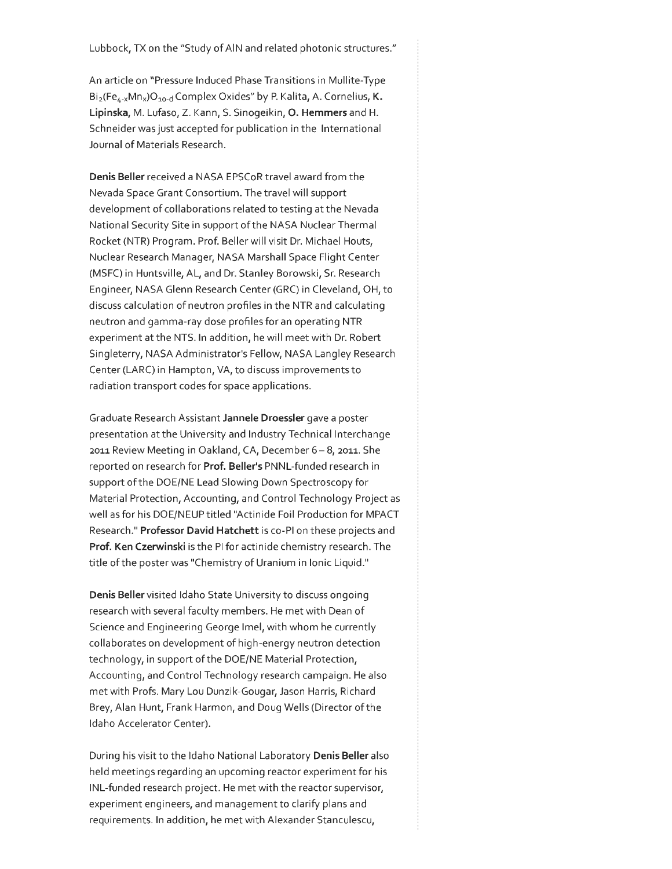An article on "Pressure Induced Phase Transitions in Mullite-Type Bi<sub>2</sub>(Fe<sub>4-x</sub>Mn<sub>x</sub>)O<sub>10-d</sub> Complex Oxides" by P. Kalita, A. Cornelius, **K. Lipinska,** M. Lufaso, Z. Kann, S. Sinogeikin, **0. Hemmers** and **H.**  Schneider was just accepted for publication in the International Journal of Materials Research.

**Denis Beller** received a NASA EPSCoR travel award from the Nevada Space Grant Consortium. The travel will support development of collaborations related to testing at the Nevada National Security Site in support of the NASA Nuclear Thermal Rocket (NTR) Program. Prof. Beller will visit Dr. Michael Houts, Nuclear Research Manager, NASA Marshall Space Flight Center (MSFC) in Huntsville, AL, and Dr. Stanley Borowski, Sr. Research Engineer, NASA Glenn Research Center (GRC) in Cleveland, OH, to discuss calculation of neutron profiles in the NTR and calculating neutron and gamma-ray dose profiles for an operating NTR experiment at the NTS. In addition, he will meet with Dr. Robert Singleterry, NASA Administrator's Fellow, NASA Langley Research Center (LARC) in Hampton, VA, to discuss improvements to radiation transport codes for space applications.

Graduate Research Assistant **Jannele Droessler** gave a poster presentation at the University and Industry Technical Interchange 2011 Review Meeting in Oakland, CA, December 6-8, 2011. She reported on research for **Prof. Beller's** PNNL-funded research in support of the DOE/NE Lead Slowing Down Spectroscopy for Material Protection, Accounting, and Control Technology Project as well as for his DOE/NEUP titled "Actinide Foil Production for MPACT Research." **Professor David Hatchett** is co-PI on these projects and **Prof. Ken Czerwinski** is the PI for actinide chemistry research. The title of the poster was "Chemistry of Uranium in Ionic Liquid."

**Denis Beller** visited Idaho State University to discuss ongoing research with several faculty members. He met with Dean of Science and Engineering George lmel, with whom he currently collaborates on development of high-energy neutron detection technology, in support of the DOE/NE Material Protection, Accounting, and Control Technology research campaign. He also met with Profs. Mary Lou Dunzik-Gougar, Jason Harris, Richard Brey, Alan Hunt, Frank Harmon, and Doug Wells (Director of the Idaho Accelerator Center).

During his visit to the Idaho National Laboratory **Denis Beller** also held meetings regarding an upcoming reactor experiment for his INL-funded research project. He met with the reactor supervisor, experiment engineers, and management to clarify plans and requirements. In addition, he met with Alexander Stanculescu,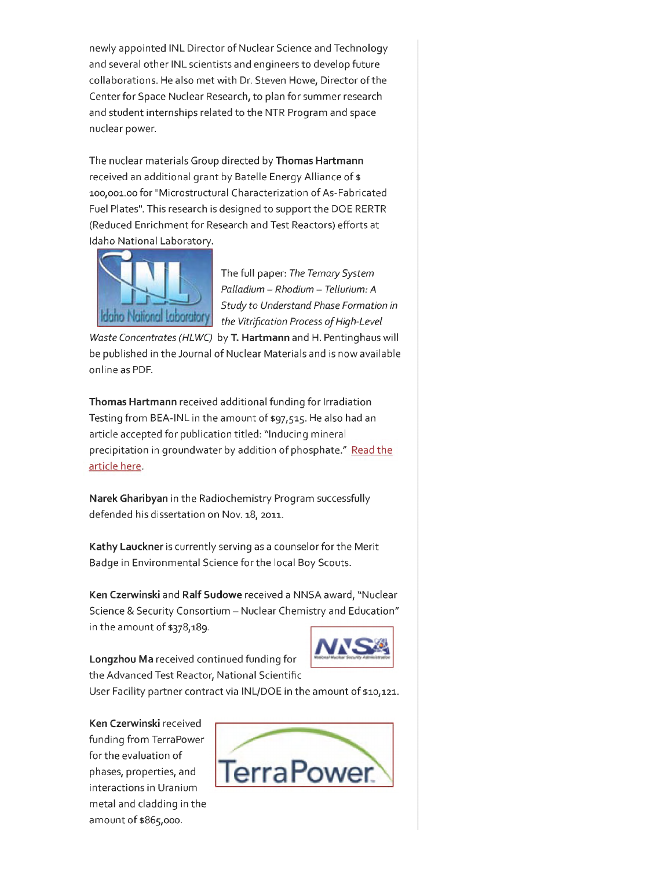newly appointed INL Director of Nuclear Science and Technology and several other INL scientists and engineers to develop future collaborations. He also met with Dr. Steven Howe, Director of the Center for Space Nuclear Research, to plan for summer research and student internships related to the NTR Program and space nuclear power.

The nuclear materials Group directed by **Thomas Hartmann**  received an additional grant by Batelle Energy Alliance of \$ 100,001.00 for "Microstructural Characterization of As-Fabricated Fuel Plates". This research is designed to support the DOE RERTR (Reduced Enrichment for Research and Test Reactors) efforts at Idaho National Laboratory.



The full paper: The Ternary System Palladium- Rhodium- Tellurium: A Study to Understand Phase Formation in the Vitrification Process of High-Level

Waste Concentrates (HLWC) by **T. Hartmann** and H. Pentinghaus will be published in the Journal of Nuclear Materials and is now available online as PDF.

**Thomas Hartmann** received additional funding for Irradiation Testing from BEA-INL in the amount of \$97,515. He also had an article accepted for publication titled: "Inducing mineral precipitation in groundwater by addition of phosphate." Read the article here.

**Narek Gharibyan** in the Radiochemistry Program successfully defended his dissertation on Nov. 18, 2011.

**Kathy Lauckner** is currently serving as a counselor for the Merit Badge in Environmental Science for the local Boy Scouts.

**Ken Czerwinski** and **Ralf Sudowe** received a NNSA award, "Nuclear Science & Security Consortium- Nuclear Chemistry and Education" in the amount of \$378,189.



**Longzhou Ma** received continued funding for the Advanced Test Reactor, National Scientific User Facility partner contract via INL/DOE in the amount of \$10,121.



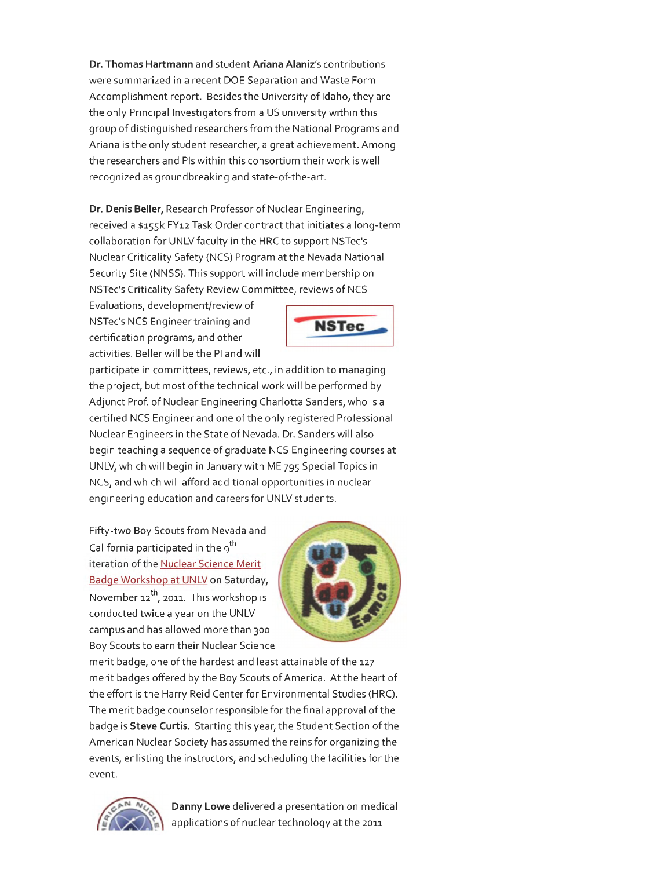**Dr. Thomas Hartmann** and student **Ariana Alaniz's** contributions were summarized in a recent DOE Separation and Waste Form Accomplishment report. Besides the University of Idaho, they are the only Principal Investigators from a US university within this group of distinguished researchers from the National Programs and Ariana is the only student researcher, a great achievement. Among the researchers and Pis within this consortium their work is well recognized as ground breaking and state-of-the-art.

**Dr. Denis Beller,** Research Professor of Nuclear Engineering, received a \$155k FY12 Task Order contract that initiates a long-term collaboration for UNLV faculty in the HRC to support NSTec's Nuclear Criticality Safety (NCS) Program at the Nevada National Security Site (NNSS). This support will include membership on NSTec's Criticality Safety Review Committee, reviews of NCS

Evaluations, development/review of NSTec's NCS Engineer training and certification programs, and other activities. Beller will be the PI and will



participate in committees, reviews, etc., in addition to managing the project, but most of the technical work will be performed by Adjunct Prof. of Nuclear Engineering Charlotta Sanders, who is a certified NCS Engineer and one of the only registered Professional Nuclear Engineers in the State of Nevada. Dr. Sanders will also begin teaching a sequence of graduate NCS Engineering courses at UNLV, which will begin in January with ME 795 Special Topics in NCS, and which will afford additional opportunities in nuclear engineering education and careers for UNLV students.

Fifty-two Boy Scouts from Nevada and California participated in the 9<sup>th</sup> iteration of the Nuclear Science Merit Badge Workshop at UNLV on Saturday, November  $12^{th}$ , 2011. This workshop is conducted twice a year on the UNLV campus and has allowed more than 300 Boy Scouts to earn their Nuclear Science



merit badge, one of the hardest and least attainable of the 127 merit badges offered by the Boy Scouts of America. At the heart of the effort is the Harry Reid Center for Environmental Studies (HRC). The merit badge counselor responsible for the final approval of the badge is **Steve Curtis.** Starting this year, the Student Section ofthe American Nuclear Society has assumed the reins for organizing the events, enlisting the instructors, and scheduling the facilities for the event.



**Danny Lowe** delivered a presentation on medical applications of nuclear technology at the 2011